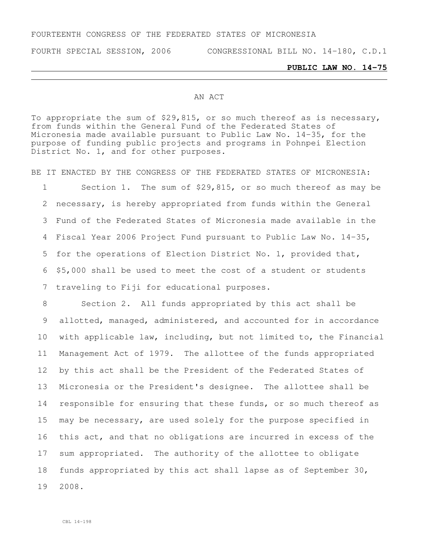## FOURTEENTH CONGRESS OF THE FEDERATED STATES OF MICRONESIA

FOURTH SPECIAL SESSION, 2006 CONGRESSIONAL BILL NO. 14-180, C.D.1

## **PUBLIC LAW NO. 14-75**

## AN ACT

To appropriate the sum of \$29,815, or so much thereof as is necessary, from funds within the General Fund of the Federated States of Micronesia made available pursuant to Public Law No. 14-35, for the purpose of funding public projects and programs in Pohnpei Election District No. 1, and for other purposes.

BE IT ENACTED BY THE CONGRESS OF THE FEDERATED STATES OF MICRONESIA:

 Section 1. The sum of \$29,815, or so much thereof as may be necessary, is hereby appropriated from funds within the General Fund of the Federated States of Micronesia made available in the Fiscal Year 2006 Project Fund pursuant to Public Law No. 14-35, for the operations of Election District No. 1, provided that, \$5,000 shall be used to meet the cost of a student or students traveling to Fiji for educational purposes.

 Section 2. All funds appropriated by this act shall be allotted, managed, administered, and accounted for in accordance with applicable law, including, but not limited to, the Financial Management Act of 1979. The allottee of the funds appropriated by this act shall be the President of the Federated States of Micronesia or the President's designee. The allottee shall be responsible for ensuring that these funds, or so much thereof as may be necessary, are used solely for the purpose specified in this act, and that no obligations are incurred in excess of the sum appropriated. The authority of the allottee to obligate funds appropriated by this act shall lapse as of September 30, 2008.